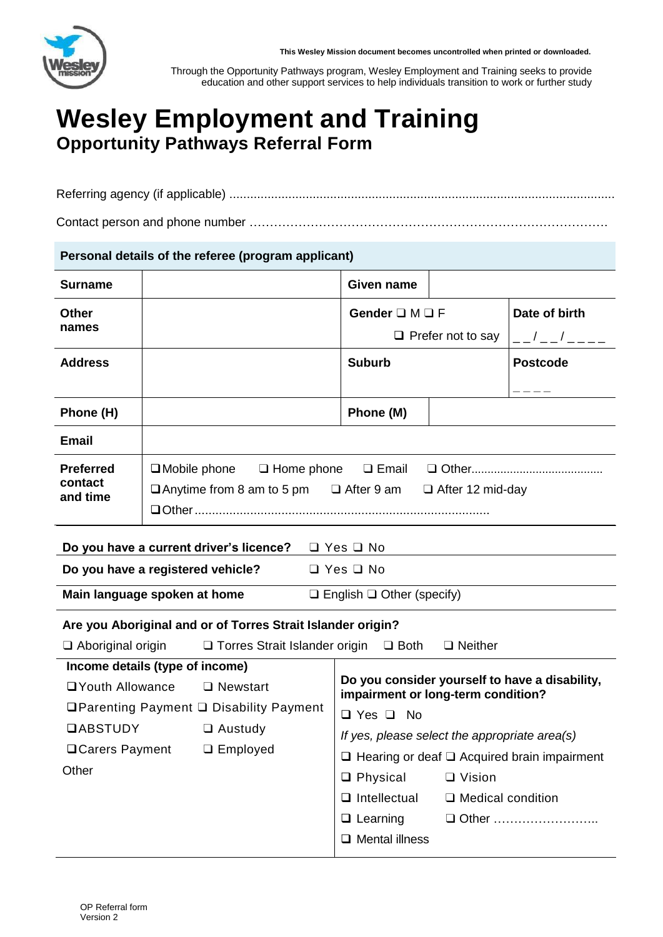

**This Wesley Mission document becomes uncontrolled when printed or downloaded.**

Through the Opportunity Pathways program, Wesley Employment and Training seeks to provide education and other support services to help individuals transition to work or further study

# **Wesley Employment and Training Opportunity Pathways Referral Form**

Referring agency (if applicable) ...............................................................................................................

Contact person and phone number …………………………………………………………………………….

## **Personal details of the referee (program applicant)**

| <b>Surname</b>                                                                                 |                                                                               | <b>Given name</b>                                                                    |                          |                     |  |
|------------------------------------------------------------------------------------------------|-------------------------------------------------------------------------------|--------------------------------------------------------------------------------------|--------------------------|---------------------|--|
| <b>Other</b>                                                                                   |                                                                               | Gender $\square M \square F$                                                         |                          | Date of birth       |  |
| names                                                                                          |                                                                               | $\Box$ Prefer not to say                                                             |                          | $- - 1 - - 1 - - -$ |  |
| <b>Address</b>                                                                                 |                                                                               | <b>Suburb</b>                                                                        |                          | <b>Postcode</b>     |  |
|                                                                                                |                                                                               |                                                                                      |                          |                     |  |
| Phone (H)                                                                                      |                                                                               | Phone (M)                                                                            |                          |                     |  |
| <b>Email</b>                                                                                   |                                                                               |                                                                                      |                          |                     |  |
| <b>Preferred</b>                                                                               | $\Box$ Mobile phone<br>$\Box$ Home phone                                      |                                                                                      |                          |                     |  |
| contact<br>and time                                                                            | $\Box$ Anytime from 8 am to 5 pm $\Box$ After 9 am<br>$\Box$ After 12 mid-day |                                                                                      |                          |                     |  |
|                                                                                                |                                                                               |                                                                                      |                          |                     |  |
| Do you have a current driver's licence?<br>$\Box$ Yes $\Box$ No                                |                                                                               |                                                                                      |                          |                     |  |
| Do you have a registered vehicle?<br>$\Box$ Yes $\Box$ No                                      |                                                                               |                                                                                      |                          |                     |  |
| Main language spoken at home<br>$\Box$ English $\Box$ Other (specify)                          |                                                                               |                                                                                      |                          |                     |  |
| Are you Aboriginal and or of Torres Strait Islander origin?                                    |                                                                               |                                                                                      |                          |                     |  |
| $\Box$ Aboriginal origin<br>$\Box$ Torres Strait Islander origin $\Box$ Both<br>$\Box$ Neither |                                                                               |                                                                                      |                          |                     |  |
| Income details (type of income)                                                                |                                                                               |                                                                                      |                          |                     |  |
| <b>QYouth Allowance</b><br>$\Box$ Newstart                                                     |                                                                               | Do you consider yourself to have a disability,<br>impairment or long-term condition? |                          |                     |  |
| <b>QParenting Payment Q Disability Payment</b>                                                 |                                                                               | $\Box$ Yes $\Box$ No                                                                 |                          |                     |  |
| <b>QABSTUDY</b>                                                                                | $\Box$ Austudy                                                                | If yes, please select the appropriate area(s)                                        |                          |                     |  |
| □ Carers Payment                                                                               | $\Box$ Employed                                                               | $\Box$ Hearing or deaf $\Box$ Acquired brain impairment                              |                          |                     |  |
| Other                                                                                          |                                                                               | $\Box$ Physical                                                                      | $\Box$ Vision            |                     |  |
|                                                                                                |                                                                               | $\Box$ Intellectual                                                                  | $\Box$ Medical condition |                     |  |
|                                                                                                |                                                                               | $\Box$ Learning                                                                      |                          | □ Other             |  |

❑ Mental illness